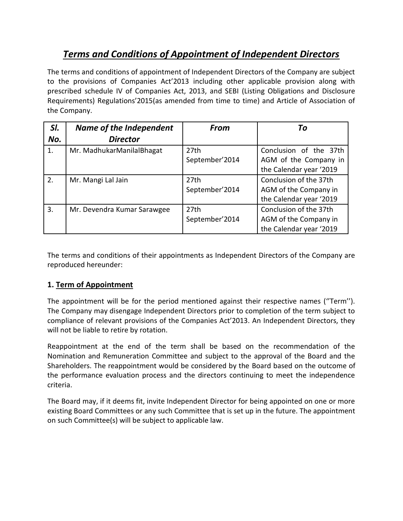# *Terms and Conditions of Appointment of Independent Directors*

The terms and conditions of appointment of Independent Directors of the Company are subject to the provisions of Companies Act'2013 including other applicable provision along with prescribed schedule IV of Companies Act, 2013, and SEBI (Listing Obligations and Disclosure Requirements) Regulations'2015(as amended from time to time) and Article of Association of the Company.

| SI. | Name of the Independent     | <b>From</b>      | Τo                      |
|-----|-----------------------------|------------------|-------------------------|
| No. | <b>Director</b>             |                  |                         |
| 1.  | Mr. MadhukarManilalBhagat   | 27 <sub>th</sub> | Conclusion of the 37th  |
|     |                             | September'2014   | AGM of the Company in   |
|     |                             |                  | the Calendar year '2019 |
| 2.  | Mr. Mangi Lal Jain          | 27 <sub>th</sub> | Conclusion of the 37th  |
|     |                             | September'2014   | AGM of the Company in   |
|     |                             |                  | the Calendar year '2019 |
| 3.  | Mr. Devendra Kumar Sarawgee | 27 <sub>th</sub> | Conclusion of the 37th  |
|     |                             | September'2014   | AGM of the Company in   |
|     |                             |                  | the Calendar year '2019 |

The terms and conditions of their appointments as Independent Directors of the Company are reproduced hereunder:

# **1. Term of Appointment**

The appointment will be for the period mentioned against their respective names (''Term''). The Company may disengage Independent Directors prior to completion of the term subject to compliance of relevant provisions of the Companies Act'2013. An Independent Directors, they will not be liable to retire by rotation.

Reappointment at the end of the term shall be based on the recommendation of the Nomination and Remuneration Committee and subject to the approval of the Board and the Shareholders. The reappointment would be considered by the Board based on the outcome of the performance evaluation process and the directors continuing to meet the independence criteria.

The Board may, if it deems fit, invite Independent Director for being appointed on one or more existing Board Committees or any such Committee that is set up in the future. The appointment on such Committee(s) will be subject to applicable law.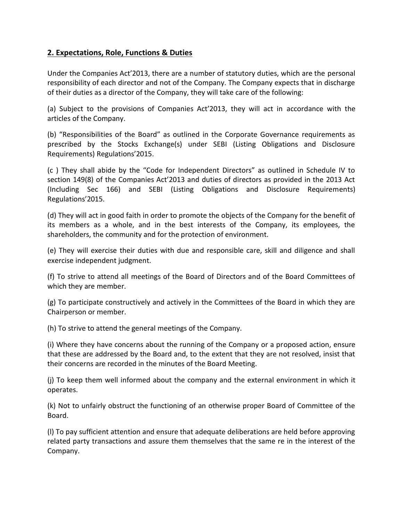## **2. Expectations, Role, Functions & Duties**

Under the Companies Act'2013, there are a number of statutory duties, which are the personal responsibility of each director and not of the Company. The Company expects that in discharge of their duties as a director of the Company, they will take care of the following:

(a) Subject to the provisions of Companies Act'2013, they will act in accordance with the articles of the Company.

(b) "Responsibilities of the Board" as outlined in the Corporate Governance requirements as prescribed by the Stocks Exchange(s) under SEBI (Listing Obligations and Disclosure Requirements) Regulations'2015.

(c ) They shall abide by the "Code for Independent Directors" as outlined in Schedule IV to section 149(8) of the Companies Act'2013 and duties of directors as provided in the 2013 Act (Including Sec 166) and SEBI (Listing Obligations and Disclosure Requirements) Regulations'2015.

(d) They will act in good faith in order to promote the objects of the Company for the benefit of its members as a whole, and in the best interests of the Company, its employees, the shareholders, the community and for the protection of environment.

(e) They will exercise their duties with due and responsible care, skill and diligence and shall exercise independent judgment.

(f) To strive to attend all meetings of the Board of Directors and of the Board Committees of which they are member.

(g) To participate constructively and actively in the Committees of the Board in which they are Chairperson or member.

(h) To strive to attend the general meetings of the Company.

(i) Where they have concerns about the running of the Company or a proposed action, ensure that these are addressed by the Board and, to the extent that they are not resolved, insist that their concerns are recorded in the minutes of the Board Meeting.

(j) To keep them well informed about the company and the external environment in which it operates.

(k) Not to unfairly obstruct the functioning of an otherwise proper Board of Committee of the Board.

(l) To pay sufficient attention and ensure that adequate deliberations are held before approving related party transactions and assure them themselves that the same re in the interest of the Company.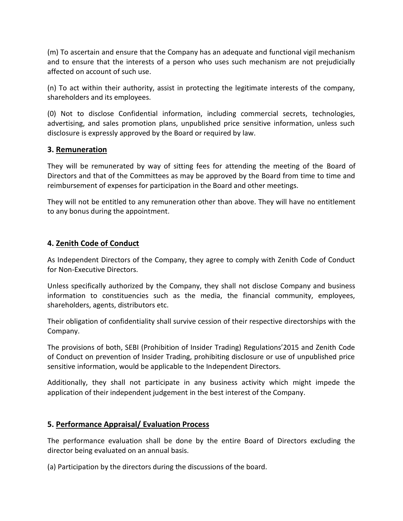(m) To ascertain and ensure that the Company has an adequate and functional vigil mechanism and to ensure that the interests of a person who uses such mechanism are not prejudicially affected on account of such use.

(n) To act within their authority, assist in protecting the legitimate interests of the company, shareholders and its employees.

(0) Not to disclose Confidential information, including commercial secrets, technologies, advertising, and sales promotion plans, unpublished price sensitive information, unless such disclosure is expressly approved by the Board or required by law.

### **3. Remuneration**

They will be remunerated by way of sitting fees for attending the meeting of the Board of Directors and that of the Committees as may be approved by the Board from time to time and reimbursement of expenses for participation in the Board and other meetings.

They will not be entitled to any remuneration other than above. They will have no entitlement to any bonus during the appointment.

### **4. Zenith Code of Conduct**

As Independent Directors of the Company, they agree to comply with Zenith Code of Conduct for Non-Executive Directors.

Unless specifically authorized by the Company, they shall not disclose Company and business information to constituencies such as the media, the financial community, employees, shareholders, agents, distributors etc.

Their obligation of confidentiality shall survive cession of their respective directorships with the Company.

The provisions of both, SEBI (Prohibition of Insider Trading) Regulations'2015 and Zenith Code of Conduct on prevention of Insider Trading, prohibiting disclosure or use of unpublished price sensitive information, would be applicable to the Independent Directors.

Additionally, they shall not participate in any business activity which might impede the application of their independent judgement in the best interest of the Company.

### **5. Performance Appraisal/ Evaluation Process**

The performance evaluation shall be done by the entire Board of Directors excluding the director being evaluated on an annual basis.

(a) Participation by the directors during the discussions of the board.